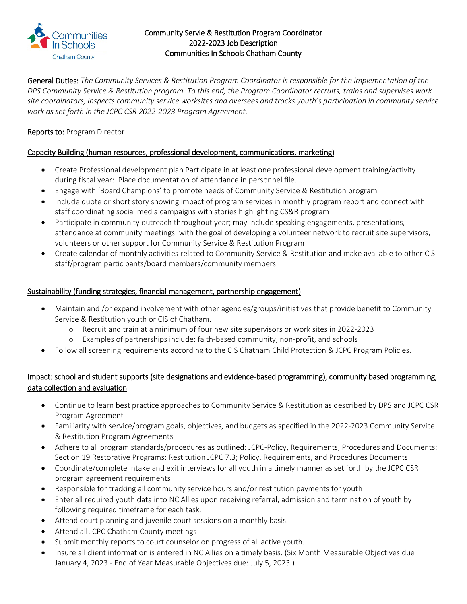

#### Community Servie & Restitution Program Coordinator 2022-2023 Job Description Communities In Schools Chatham County

General Duties: *The Community Services & Restitution Program Coordinator is responsible for the implementation of the DPS Community Service & Restitution program. To this end, the Program Coordinator recruits, trains and supervises work site coordinators, inspects community service worksites and oversees and tracks youth's participation in community service work as set forth in the JCPC CSR 2022-2023 Program Agreement.*

### Reports to: Program Director

#### Capacity Building (human resources, professional development, communications, marketing)

- Create Professional development plan Participate in at least one professional development training/activity during fiscal year: Place documentation of attendance in personnel file.
- Engage with 'Board Champions' to promote needs of Community Service & Restitution program
- Include quote or short story showing impact of program services in monthly program report and connect with staff coordinating social media campaigns with stories highlighting CS&R program
- Participate in community outreach throughout year; may include speaking engagements, presentations, attendance at community meetings, with the goal of developing a volunteer network to recruit site supervisors, volunteers or other support for Community Service & Restitution Program
- Create calendar of monthly activities related to Community Service & Restitution and make available to other CIS staff/program participants/board members/community members

#### Sustainability (funding strategies, financial management, partnership engagement)

- Maintain and /or expand involvement with other agencies/groups/initiatives that provide benefit to Community Service & Restitution youth or CIS of Chatham.
	- o Recruit and train at a minimum of four new site supervisors or work sites in 2022-2023
	- o Examples of partnerships include: faith-based community, non-profit, and schools
- Follow all screening requirements according to the CIS Chatham Child Protection & JCPC Program Policies.

# Impact: school and student supports (site designations and evidence-based programming), community based programming, data collection and evaluation

- Continue to learn best practice approaches to Community Service & Restitution as described by DPS and JCPC CSR Program Agreement
- Familiarity with service/program goals, objectives, and budgets as specified in the 2022-2023 Community Service & Restitution Program Agreements
- Adhere to all program standards/procedures as outlined: JCPC-Policy, Requirements, Procedures and Documents: Section 19 Restorative Programs: Restitution JCPC 7.3; Policy, Requirements, and Procedures Documents
- Coordinate/complete intake and exit interviews for all youth in a timely manner as set forth by the JCPC CSR program agreement requirements
- Responsible for tracking all community service hours and/or restitution payments for youth
- Enter all required youth data into NC Allies upon receiving referral, admission and termination of youth by following required timeframe for each task.
- Attend court planning and juvenile court sessions on a monthly basis.
- Attend all JCPC Chatham County meetings
- Submit monthly reports to court counselor on progress of all active youth.
- Insure all client information is entered in NC Allies on a timely basis. (Six Month Measurable Objectives due January 4, 2023 - End of Year Measurable Objectives due: July 5, 2023.)